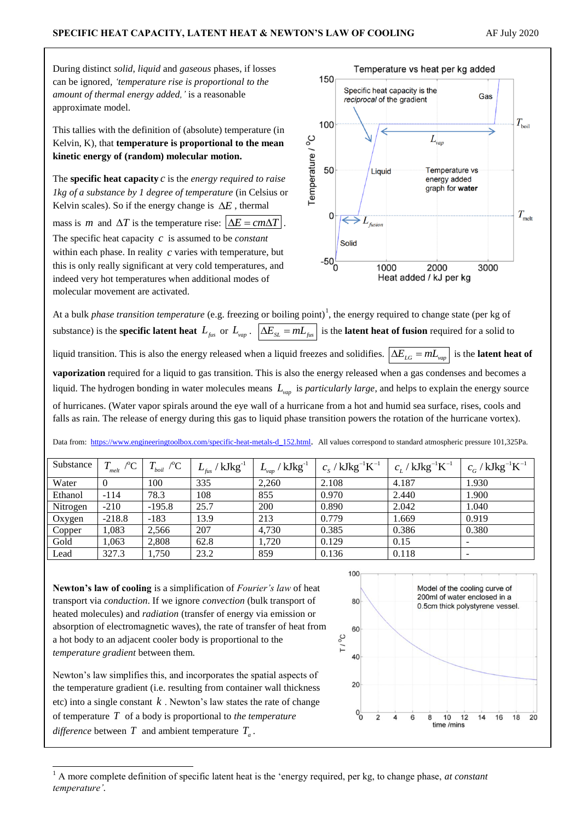During distinct *solid*, *liquid* and *gaseous* phases, if losses can be ignored*, 'temperature rise is proportional to the amount of thermal energy added,'* is a reasonable approximate model.

This tallies with the definition of (absolute) temperature (in Kelvin, K), that **temperature is proportional to the mean kinetic energy of (random) molecular motion.**

The **specific heat capacity**  $c$  is the *energy required to raise 1kg of a substance by 1 degree of temperature* (in Celsius or Kelvin scales). So if the energy change is  $\Delta E$ , thermal mass is *m* and  $\Delta T$  is the temperature rise:  $\Delta E = cm\Delta T$ . The specific heat capacity *c* is assumed to be *constant* within each phase. In reality c varies with temperature, but this is only really significant at very cold temperatures, and indeed very hot temperatures when additional modes of molecular movement are activated.



At a bulk *phase transition temperature* (e.g. freezing or boiling point)<sup>1</sup>, the energy required to change state (per kg of substance) is the **specific latent heat**  $L_{fus}$  or  $L_{vap}$ .  $\left|\Delta E_{SL} = mL_{fus}\right|$  is the **latent heat of fusion** required for a solid to liquid transition. This is also the energy released when a liquid freezes and solidifies.  $\left|\Delta E_{LG} = mL_{vap}\right|$  is the **latent heat of vaporization** required for a liquid to gas transition. This is also the energy released when a gas condenses and becomes a liquid. The hydrogen bonding in water molecules means  $L_{vap}$  is *particularly large*, and helps to explain the energy source of hurricanes. (Water vapor spirals around the eye wall of a hurricane from a hot and humid sea surface, rises, cools and falls as rain. The release of energy during this gas to liquid phase transition powers the rotation of the hurricane vortex).

Data from: [https://www.engineeringtoolbox.com/specific-heat-metals-d\\_152.html](https://www.engineeringtoolbox.com/specific-heat-metals-d_152.html). All values correspond to standard atmospheric pressure 101,325Pa.

| Substance | $T_{melt}$ /°C | $T_{boil}$ /°C | $L_{_{\mathit{fus}}}$ / $\rm{kJkg}$ $^1$ | $L_{_{\nu ap}}$ / $\rm{kJkg}^{\text{-1}}$ | $c_{\rm s}$ / ${\rm kJkg^{-1}K^{-1}}$ | $c_I / kJkg^{-1}K^{-1}$ | $c_{G}^{\phantom{\dag}}$ / ${\rm kJkg^{-1}K^{-1}}$ |
|-----------|----------------|----------------|------------------------------------------|-------------------------------------------|---------------------------------------|-------------------------|----------------------------------------------------|
| Water     |                | 100            | 335                                      | 2,260                                     | 2.108                                 | 4.187                   | 1.930                                              |
| Ethanol   | $-114$         | 78.3           | 108                                      | 855                                       | 0.970                                 | 2.440                   | 1.900                                              |
| Nitrogen  | $-210$         | $-195.8$       | 25.7                                     | 200                                       | 0.890                                 | 2.042                   | 1.040                                              |
| Oxygen    | $-218.8$       | $-183$         | 13.9                                     | 213                                       | 0.779                                 | 1.669                   | 0.919                                              |
| Copper    | 1,083          | 2,566          | 207                                      | 4,730                                     | 0.385                                 | 0.386                   | 0.380                                              |
| Gold      | 1,063          | 2,808          | 62.8                                     | 1,720                                     | 0.129                                 | 0.15                    | $\overline{\phantom{a}}$                           |
| Lead      | 327.3          | 1,750          | 23.2                                     | 859                                       | 0.136                                 | 0.118                   | $\overline{\phantom{0}}$                           |

**Newton's law of cooling** is a simplification of *Fourier's law* of heat transport via *conduction*. If we ignore *convection* (bulk transport of heated molecules) and *radiation* (transfer of energy via emission or absorption of electromagnetic waves), the rate of transfer of heat from a hot body to an adjacent cooler body is proportional to the *temperature gradient* between them.

Newton's law simplifies this, and incorporates the spatial aspects of the temperature gradient (i.e. resulting from container wall thickness etc) into a single constant  $k$ . Newton's law states the rate of change of temperature *T* of a body is proportional to *the temperature difference* between  $T$  and ambient temperature  $T_a$ .

1



<sup>1</sup> A more complete definition of specific latent heat is the 'energy required, per kg, to change phase, *at constant temperature'.*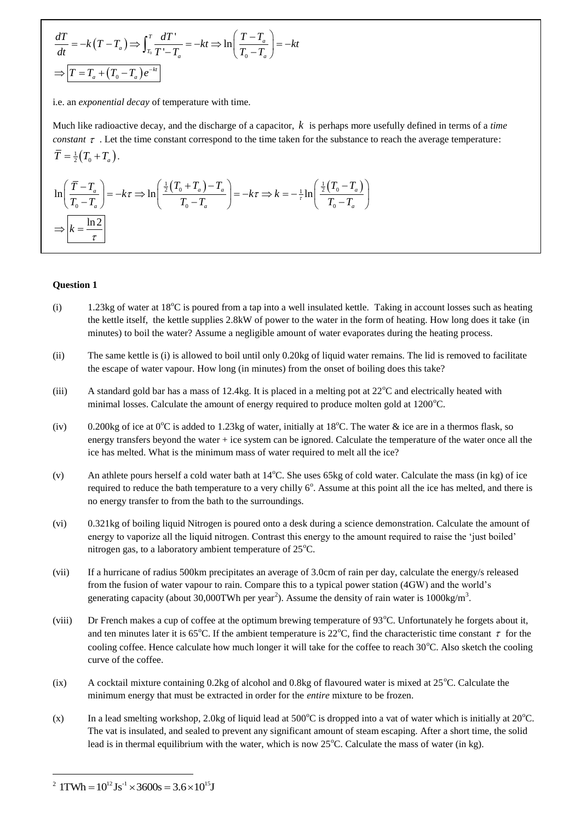$$
\frac{dT}{dt} = -k(T - T_a) \Rightarrow \int_{T_0}^{T} \frac{dT}{T' - T_a} = -kt \Rightarrow \ln\left(\frac{T - T_a}{T_0 - T_a}\right) = -kt
$$

$$
\Rightarrow \boxed{T = T_a + (T_0 - T_a)e^{-kt}}
$$

i.e. an *exponential decay* of temperature with time.

Much like radioactive decay, and the discharge of a capacitor, *k* is perhaps more usefully defined in terms of a *time constant*  $\tau$ . Let the time constant correspond to the time taken for the substance to reach the average temperature:  $\bar{T} = \frac{1}{2} (T_0 + T_a).$ 

$$
\overline{T} = \frac{1}{2} (T_0 + T_a).
$$
\n
$$
\ln \left( \frac{\overline{T} - T_a}{T_0 - T_a} \right) = -k\tau \Rightarrow \ln \left( \frac{\frac{1}{2} (T_0 + T_a) - T_a}{T_0 - T_a} \right) = -k\tau \Rightarrow k = -\frac{1}{\tau} \ln \left( \frac{\frac{1}{2} (T_0 - T_a)}{T_0 - T_a} \right)
$$
\n
$$
\Rightarrow \boxed{k = \frac{\ln 2}{\tau}}
$$

## **Question 1**

- (i) 1.23kg of water at  $18^{\circ}$ C is poured from a tap into a well insulated kettle. Taking in account losses such as heating the kettle itself, the kettle supplies 2.8kW of power to the water in the form of heating. How long does it take (in minutes) to boil the water? Assume a negligible amount of water evaporates during the heating process.
- (ii) The same kettle is (i) is allowed to boil until only 0.20kg of liquid water remains. The lid is removed to facilitate the escape of water vapour. How long (in minutes) from the onset of boiling does this take?
- (iii) A standard gold bar has a mass of 12.4kg. It is placed in a melting pot at  $22^{\circ}$ C and electrically heated with minimal losses. Calculate the amount of energy required to produce molten gold at  $1200^{\circ}$ C.
- (iv) 0.200kg of ice at  $0^{\circ}$ C is added to 1.23kg of water, initially at 18<sup>o</sup>C. The water & ice are in a thermos flask, so energy transfers beyond the water + ice system can be ignored. Calculate the temperature of the water once all the ice has melted. What is the minimum mass of water required to melt all the ice?
- (v) An athlete pours herself a cold water bath at  $14^{\circ}$ C. She uses 65kg of cold water. Calculate the mass (in kg) of ice required to reduce the bath temperature to a very chilly  $6^\circ$ . Assume at this point all the ice has melted, and there is no energy transfer to from the bath to the surroundings.
- (vi) 0.321kg of boiling liquid Nitrogen is poured onto a desk during a science demonstration. Calculate the amount of energy to vaporize all the liquid nitrogen. Contrast this energy to the amount required to raise the 'just boiled' nitrogen gas, to a laboratory ambient temperature of  $25^{\circ}$ C.
- (vii) If a hurricane of radius 500km precipitates an average of 3.0cm of rain per day, calculate the energy/s released from the fusion of water vapour to rain. Compare this to a typical power station (4GW) and the world's generating capacity (about 30,000TWh per year<sup>2</sup>). Assume the density of rain water is 1000kg/m<sup>3</sup>.
- (viii) Dr French makes a cup of coffee at the optimum brewing temperature of  $93^{\circ}$ C. Unfortunately he forgets about it, and ten minutes later it is 65°C. If the ambient temperature is 22°C, find the characteristic time constant  $\tau$  for the cooling coffee. Hence calculate how much longer it will take for the coffee to reach  $30^{\circ}$ C. Also sketch the cooling curve of the coffee.
- (ix) A cocktail mixture containing 0.2kg of alcohol and 0.8kg of flavoured water is mixed at  $25^{\circ}$ C. Calculate the minimum energy that must be extracted in order for the *entire* mixture to be frozen.
- (x) In a lead smelting workshop, 2.0kg of liquid lead at  $500^{\circ}$ C is dropped into a vat of water which is initially at  $20^{\circ}$ C. The vat is insulated, and sealed to prevent any significant amount of steam escaping. After a short time, the solid lead is in thermal equilibrium with the water, which is now  $25^{\circ}$ C. Calculate the mass of water (in kg).

-

<sup>&</sup>lt;sup>2</sup> 1TWh =  $10^{12}$  Js<sup>-1</sup>  $\times$  3600s = 3.6  $\times$  10<sup>15</sup> J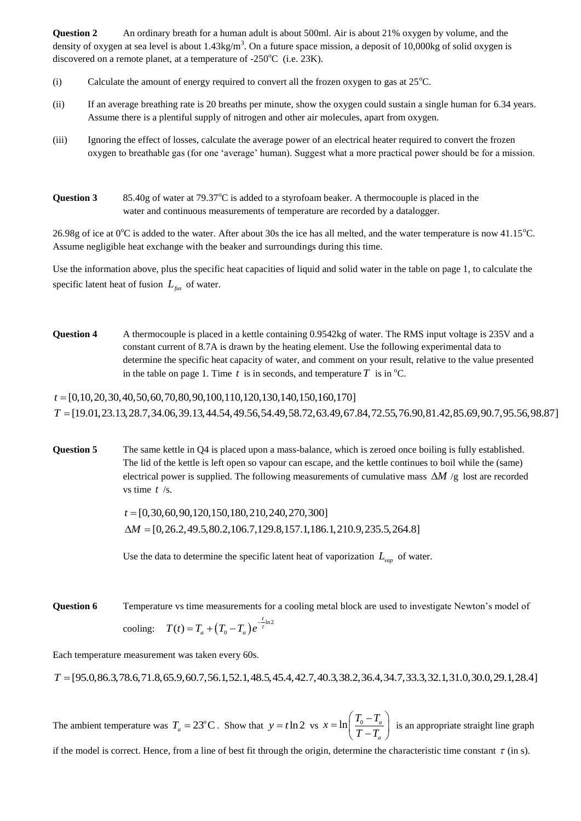**Question 2** An ordinary breath for a human adult is about 500ml. Air is about 21% oxygen by volume, and the density of oxygen at sea level is about  $1.43 \text{kg/m}^3$ . On a future space mission, a deposit of 10,000kg of solid oxygen is discovered on a remote planet, at a temperature of  $-250^{\circ}$ C (i.e. 23K).

- (i) Calculate the amount of energy required to convert all the frozen oxygen to gas at  $25^{\circ}$ C.
- (ii) If an average breathing rate is 20 breaths per minute, show the oxygen could sustain a single human for 6.34 years. Assume there is a plentiful supply of nitrogen and other air molecules, apart from oxygen.
- (iii) Ignoring the effect of losses, calculate the average power of an electrical heater required to convert the frozen oxygen to breathable gas (for one 'average' human). Suggest what a more practical power should be for a mission.
- **Question 3** 85.40g of water at 79.37 $^{\circ}$ C is added to a styrofoam beaker. A thermocouple is placed in the water and continuous measurements of temperature are recorded by a datalogger.

26.98g of ice at  $0^{\circ}$ C is added to the water. After about 30s the ice has all melted, and the water temperature is now 41.15 $^{\circ}$ C. Assume negligible heat exchange with the beaker and surroundings during this time.

Use the information above, plus the specific heat capacities of liquid and solid water in the table on page 1, to calculate the specific latent heat of fusion *Lfus* of water.

**Question 4** A thermocouple is placed in a kettle containing 0.9542kg of water. The RMS input voltage is 235V and a constant current of 8.7A is drawn by the heating element. Use the following experimental data to determine the specific heat capacity of water, and comment on your result, relative to the value presented in the table on page 1. Time  $t$  is in seconds, and temperature  $T$  is in <sup>o</sup>C.

[0,10,20,30,40,50,60,70,80,90,100,110,120,130,140,150,160,170] *t* [19.01,23.13,28.7,34.06,39.13,44.54,49.56,54.49,58.72,63.49,67.84,72.55,76.90,81.42,85.69,90.7,95.56,98.87] *T*

**Question 5** The same kettle in Q4 is placed upon a mass-balance, which is zeroed once boiling is fully established. The lid of the kettle is left open so vapour can escape, and the kettle continues to boil while the (same) electrical power is supplied. The following measurements of cumulative mass  $\Delta M$  /g lost are recorded vs time *t* /s.

[0,30,60,90,120,150,180,210,240,270,300] *t t* = [0,30,60,90,120,150,180,210,240,270,300]<br>Δ*M* = [0,26.2,49.5,80.2,106.7,129.8,157.1,186.1,210.9,235.5,264.8]

Use the data to determine the specific latent heat of vaporization  $L_{vap}$  of water.

**Question 6** Temperature vs time measurements for a cooling metal block are used to investigate Newton's model of cooling:  $T(t) = T_a + (T_0 - T_a)e^{-\frac{t}{\tau} \ln 2}$  $T(t) = T_a + (T_0 - T_a) e^{-\frac{t}{\tau}}$ 

Each temperature measurement was taken every 60s.

*T* [95.0,86.3,78.6,71.8,65.9,60.7,56.1,52.1,48.5,45.4,42.7,40.3,38.2,36.4,34.7,33.3,32.1,31.0,30.0,29.1,28.4]

The ambient temperature was  $T_a = 23^{\circ}$ C. Show that  $y = t \ln 2$  vs  $x = \ln \left| \frac{I_0 - I_a}{T_a - T_a} \right|$ *a*  $x = \ln \left( \frac{T_0 - T_1}{T_0 - T_1} \right)$  $T - T$  $=\ln\left(\frac{T_0-T_a}{T-T_a}\right)$  $\left(\frac{10^{-4}a}{T-T_a}\right)$  is an appropriate straight line graph

if the model is correct. Hence, from a line of best fit through the origin, determine the characteristic time constant  $\tau$  (in s).